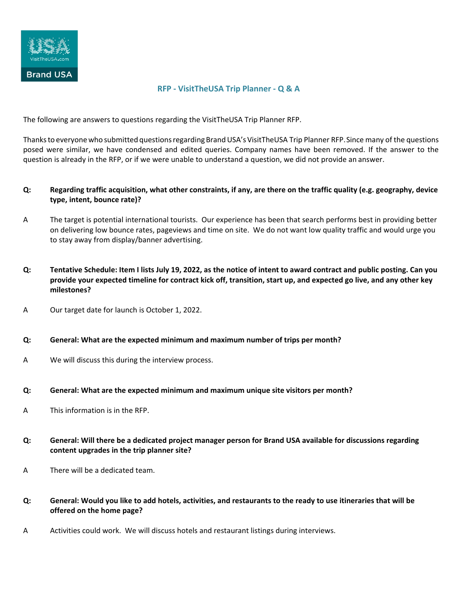

## **RFP - VisitTheUSA Trip Planner - Q & A**

The following are answers to questions regarding the VisitTheUSA Trip Planner RFP.

Thanks to everyone who submitted questions regarding Brand USA's VisitTheUSA Trip Planner RFP. Since many of the questions posed were similar, we have condensed and edited queries. Company names have been removed. If the answer to the question is already in the RFP, or if we were unable to understand a question, we did not provide an answer.

- **Q: Regarding traffic acquisition, what other constraints, if any, are there on the traffic quality (e.g. geography, device type, intent, bounce rate)?**
- A The target is potential international tourists. Our experience has been that search performs best in providing better on delivering low bounce rates, pageviews and time on site. We do not want low quality traffic and would urge you to stay away from display/banner advertising.
- **Q: Tentative Schedule: Item I lists July 19, 2022, as the notice of intent to award contract and public posting. Can you provide your expected timeline for contract kick off, transition, start up, and expected go live, and any other key milestones?**
- A Our target date for launch is October 1, 2022.
- **Q: General: What are the expected minimum and maximum number of trips per month?**
- A We will discuss this during the interview process.
- **Q: General: What are the expected minimum and maximum unique site visitors per month?**
- A This information is in the RFP.
- **Q: General: Will there be a dedicated project manager person for Brand USA available for discussions regarding content upgrades in the trip planner site?**
- A There will be a dedicated team.
- **Q: General: Would you like to add hotels, activities, and restaurants to the ready to use itineraries that will be offered on the home page?**
- A Activities could work. We will discuss hotels and restaurant listings during interviews.